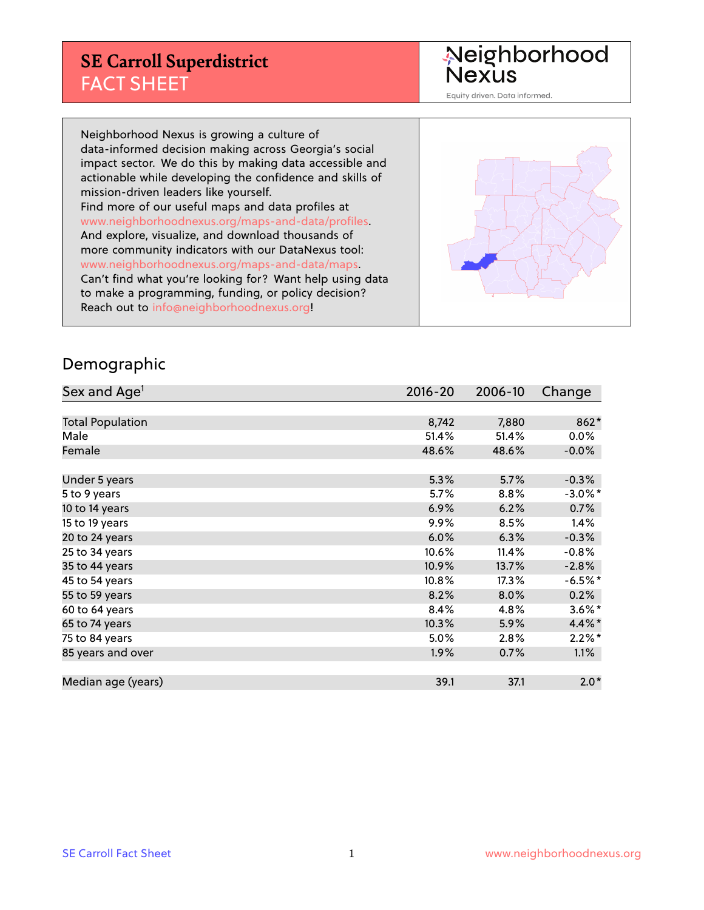#### **SE Carroll Superdistrict** FACT SHEET

Neighborhood<br>Nexus

Equity driven. Data informed.

Neighborhood Nexus is growing a culture of data-informed decision making across Georgia's social impact sector. We do this by making data accessible and actionable while developing the confidence and skills of mission-driven leaders like yourself. Find more of our useful maps and data profiles at www.neighborhoodnexus.org/maps-and-data/profiles. And explore, visualize, and download thousands of more community indicators with our DataNexus tool: www.neighborhoodnexus.org/maps-and-data/maps. Can't find what you're looking for? Want help using data to make a programming, funding, or policy decision? Reach out to [info@neighborhoodnexus.org!](mailto:info@neighborhoodnexus.org)



#### Demographic

| Sex and Age <sup>1</sup> | $2016 - 20$ | 2006-10 | Change     |
|--------------------------|-------------|---------|------------|
|                          |             |         |            |
| <b>Total Population</b>  | 8,742       | 7,880   | 862*       |
| Male                     | 51.4%       | 51.4%   | $0.0\%$    |
| Female                   | 48.6%       | 48.6%   | $-0.0\%$   |
|                          |             |         |            |
| Under 5 years            | 5.3%        | 5.7%    | $-0.3%$    |
| 5 to 9 years             | 5.7%        | 8.8%    | $-3.0\%$ * |
| 10 to 14 years           | 6.9%        | 6.2%    | 0.7%       |
| 15 to 19 years           | 9.9%        | 8.5%    | 1.4%       |
| 20 to 24 years           | 6.0%        | 6.3%    | $-0.3%$    |
| 25 to 34 years           | 10.6%       | 11.4%   | $-0.8%$    |
| 35 to 44 years           | 10.9%       | 13.7%   | $-2.8%$    |
| 45 to 54 years           | 10.8%       | 17.3%   | $-6.5%$ *  |
| 55 to 59 years           | 8.2%        | 8.0%    | 0.2%       |
| 60 to 64 years           | 8.4%        | 4.8%    | $3.6\%$ *  |
| 65 to 74 years           | 10.3%       | 5.9%    | 4.4%*      |
| 75 to 84 years           | 5.0%        | 2.8%    | $2.2\%$ *  |
| 85 years and over        | 1.9%        | 0.7%    | $1.1\%$    |
|                          |             |         |            |
| Median age (years)       | 39.1        | 37.1    | $2.0*$     |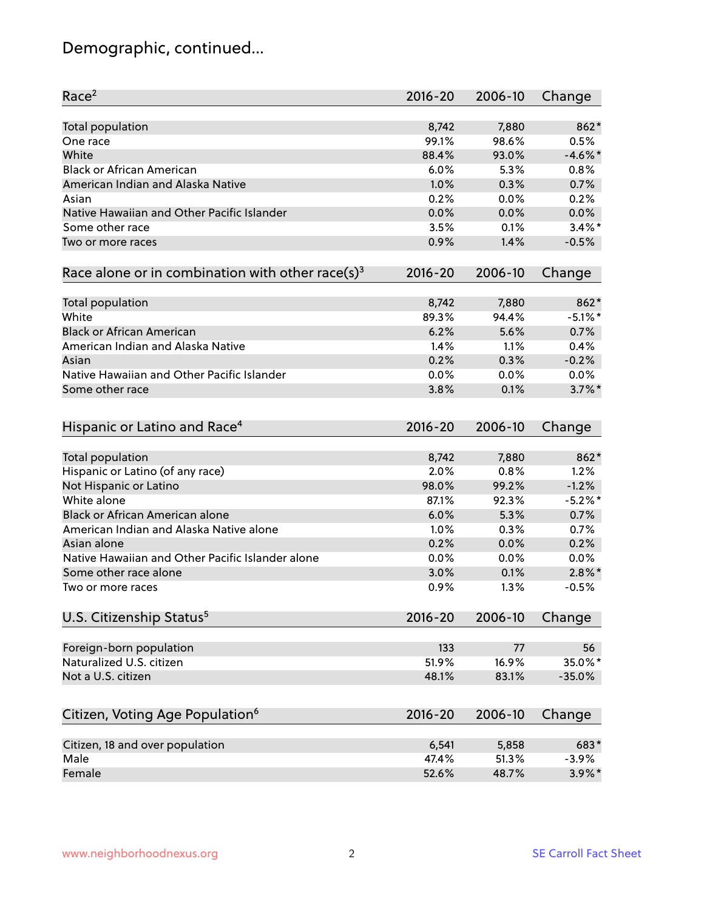# Demographic, continued...

| Race <sup>2</sup>                                            | $2016 - 20$ | 2006-10 | Change     |
|--------------------------------------------------------------|-------------|---------|------------|
| <b>Total population</b>                                      | 8,742       | 7,880   | 862*       |
| One race                                                     | 99.1%       | 98.6%   | 0.5%       |
| White                                                        | 88.4%       | 93.0%   | $-4.6\%$ * |
| <b>Black or African American</b>                             | 6.0%        | 5.3%    | 0.8%       |
| American Indian and Alaska Native                            | 1.0%        | 0.3%    | 0.7%       |
| Asian                                                        | 0.2%        | 0.0%    | 0.2%       |
| Native Hawaiian and Other Pacific Islander                   | 0.0%        | 0.0%    | 0.0%       |
| Some other race                                              | 3.5%        | 0.1%    | $3.4\%$ *  |
| Two or more races                                            | 0.9%        | 1.4%    | $-0.5%$    |
| Race alone or in combination with other race(s) <sup>3</sup> | $2016 - 20$ | 2006-10 | Change     |
| Total population                                             | 8,742       | 7,880   | $862*$     |
| White                                                        | 89.3%       | 94.4%   | $-5.1\%$ * |
| <b>Black or African American</b>                             | 6.2%        | 5.6%    | 0.7%       |
| American Indian and Alaska Native                            | 1.4%        | 1.1%    | 0.4%       |
| Asian                                                        | 0.2%        | 0.3%    | $-0.2%$    |
| Native Hawaiian and Other Pacific Islander                   | 0.0%        | 0.0%    | 0.0%       |
| Some other race                                              | 3.8%        | 0.1%    | $3.7\%$ *  |
| Hispanic or Latino and Race <sup>4</sup>                     | $2016 - 20$ | 2006-10 | Change     |
| Total population                                             | 8,742       | 7,880   | 862*       |
| Hispanic or Latino (of any race)                             | 2.0%        | 0.8%    | 1.2%       |
| Not Hispanic or Latino                                       | 98.0%       | 99.2%   | $-1.2%$    |
| White alone                                                  | 87.1%       | 92.3%   | $-5.2\%$ * |
| <b>Black or African American alone</b>                       | 6.0%        | 5.3%    | 0.7%       |
| American Indian and Alaska Native alone                      | 1.0%        | 0.3%    | 0.7%       |
| Asian alone                                                  | 0.2%        | 0.0%    | 0.2%       |
| Native Hawaiian and Other Pacific Islander alone             | 0.0%        | 0.0%    | 0.0%       |
| Some other race alone                                        | 3.0%        | 0.1%    | $2.8\%$ *  |
| Two or more races                                            | 0.9%        | 1.3%    | $-0.5%$    |
| U.S. Citizenship Status <sup>5</sup>                         | $2016 - 20$ | 2006-10 | Change     |
| Foreign-born population                                      | 133         | 77      | 56         |
| Naturalized U.S. citizen                                     | 51.9%       | 16.9%   | 35.0%*     |
| Not a U.S. citizen                                           | 48.1%       | 83.1%   | $-35.0%$   |
|                                                              |             |         |            |
| Citizen, Voting Age Population <sup>6</sup>                  | $2016 - 20$ | 2006-10 | Change     |
| Citizen, 18 and over population                              | 6,541       | 5,858   | 683*       |
| Male                                                         | 47.4%       | 51.3%   | $-3.9%$    |
| Female                                                       | 52.6%       | 48.7%   | 3.9%*      |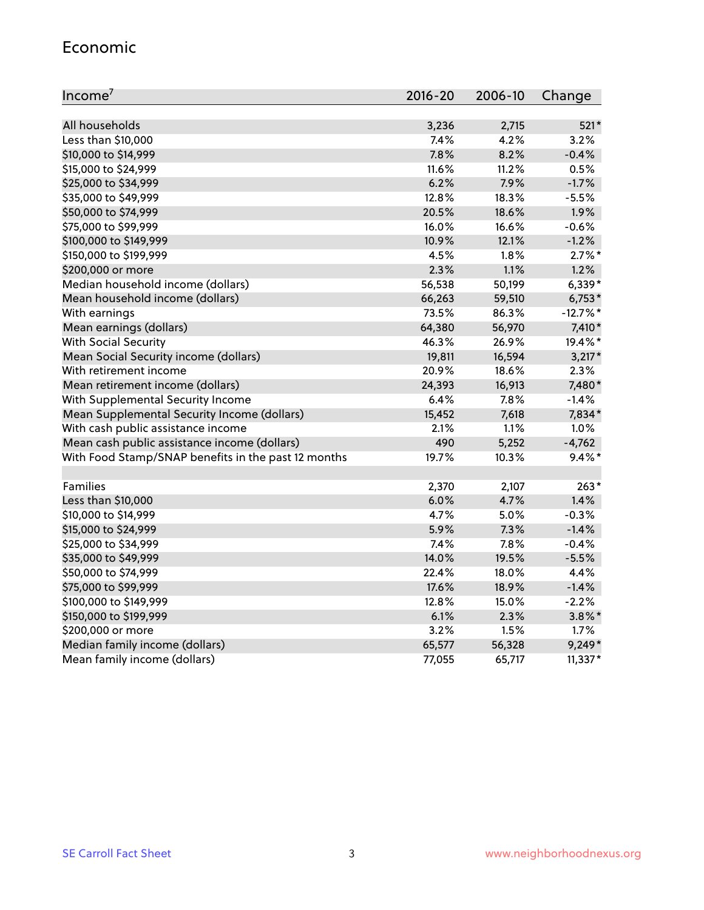#### Economic

| Income <sup>7</sup>                                 | $2016 - 20$ | 2006-10 | Change     |
|-----------------------------------------------------|-------------|---------|------------|
|                                                     |             |         |            |
| All households                                      | 3,236       | 2,715   | $521*$     |
| Less than \$10,000                                  | 7.4%        | 4.2%    | 3.2%       |
| \$10,000 to \$14,999                                | 7.8%        | 8.2%    | $-0.4%$    |
| \$15,000 to \$24,999                                | 11.6%       | 11.2%   | 0.5%       |
| \$25,000 to \$34,999                                | 6.2%        | 7.9%    | $-1.7%$    |
| \$35,000 to \$49,999                                | 12.8%       | 18.3%   | $-5.5%$    |
| \$50,000 to \$74,999                                | 20.5%       | 18.6%   | 1.9%       |
| \$75,000 to \$99,999                                | 16.0%       | 16.6%   | $-0.6%$    |
| \$100,000 to \$149,999                              | 10.9%       | 12.1%   | $-1.2%$    |
| \$150,000 to \$199,999                              | 4.5%        | 1.8%    | $2.7\%$ *  |
| \$200,000 or more                                   | 2.3%        | 1.1%    | 1.2%       |
| Median household income (dollars)                   | 56,538      | 50,199  | $6,339*$   |
| Mean household income (dollars)                     | 66,263      | 59,510  | $6,753*$   |
| With earnings                                       | 73.5%       | 86.3%   | $-12.7%$ * |
| Mean earnings (dollars)                             | 64,380      | 56,970  | 7,410*     |
| <b>With Social Security</b>                         | 46.3%       | 26.9%   | 19.4%*     |
| Mean Social Security income (dollars)               | 19,811      | 16,594  | $3,217*$   |
| With retirement income                              | 20.9%       | 18.6%   | 2.3%       |
| Mean retirement income (dollars)                    | 24,393      | 16,913  | 7,480*     |
| With Supplemental Security Income                   | 6.4%        | 7.8%    | $-1.4%$    |
| Mean Supplemental Security Income (dollars)         | 15,452      | 7,618   | 7,834*     |
| With cash public assistance income                  | 2.1%        | 1.1%    | 1.0%       |
| Mean cash public assistance income (dollars)        | 490         | 5,252   | $-4,762$   |
| With Food Stamp/SNAP benefits in the past 12 months | 19.7%       | 10.3%   | $9.4\%$ *  |
|                                                     |             |         |            |
| Families                                            | 2,370       | 2,107   | $263*$     |
| Less than \$10,000                                  | 6.0%        | 4.7%    | 1.4%       |
| \$10,000 to \$14,999                                | 4.7%        | 5.0%    | $-0.3%$    |
| \$15,000 to \$24,999                                | 5.9%        | 7.3%    | $-1.4%$    |
| \$25,000 to \$34,999                                | 7.4%        | 7.8%    | $-0.4%$    |
| \$35,000 to \$49,999                                | 14.0%       | 19.5%   | $-5.5%$    |
| \$50,000 to \$74,999                                | 22.4%       | 18.0%   | 4.4%       |
| \$75,000 to \$99,999                                | 17.6%       | 18.9%   | $-1.4%$    |
| \$100,000 to \$149,999                              | 12.8%       | 15.0%   | $-2.2%$    |
| \$150,000 to \$199,999                              | 6.1%        | 2.3%    | $3.8\%$ *  |
| \$200,000 or more                                   | 3.2%        | 1.5%    | 1.7%       |
| Median family income (dollars)                      | 65,577      | 56,328  | $9,249*$   |
| Mean family income (dollars)                        | 77,055      | 65,717  | $11,337*$  |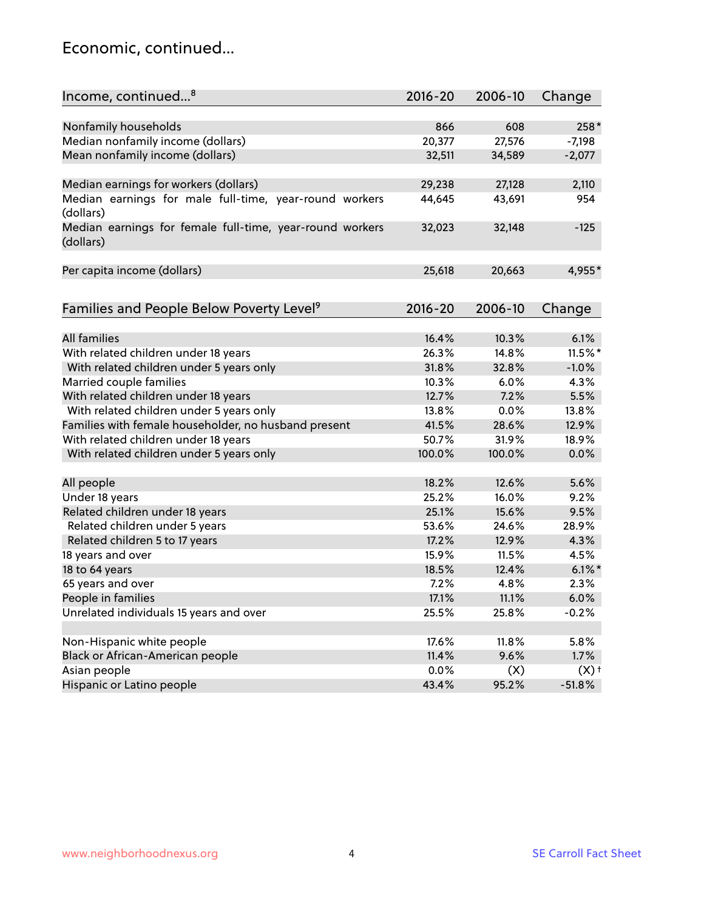#### Economic, continued...

| Income, continued <sup>8</sup>                                        | $2016 - 20$ | 2006-10 | Change             |
|-----------------------------------------------------------------------|-------------|---------|--------------------|
|                                                                       |             |         |                    |
| Nonfamily households                                                  | 866         | 608     | 258*               |
| Median nonfamily income (dollars)                                     | 20,377      | 27,576  | $-7,198$           |
| Mean nonfamily income (dollars)                                       | 32,511      | 34,589  | $-2,077$           |
| Median earnings for workers (dollars)                                 | 29,238      | 27,128  | 2,110              |
| Median earnings for male full-time, year-round workers                | 44,645      | 43,691  | 954                |
| (dollars)                                                             |             |         |                    |
| Median earnings for female full-time, year-round workers<br>(dollars) | 32,023      | 32,148  | $-125$             |
| Per capita income (dollars)                                           | 25,618      | 20,663  | 4,955*             |
|                                                                       |             |         |                    |
| Families and People Below Poverty Level <sup>9</sup>                  | $2016 - 20$ | 2006-10 | Change             |
| <b>All families</b>                                                   |             |         | 6.1%               |
|                                                                       | 16.4%       | 10.3%   |                    |
| With related children under 18 years                                  | 26.3%       | 14.8%   | 11.5%*             |
| With related children under 5 years only                              | 31.8%       | 32.8%   | $-1.0%$            |
| Married couple families                                               | 10.3%       | 6.0%    | 4.3%               |
| With related children under 18 years                                  | 12.7%       | 7.2%    | 5.5%               |
| With related children under 5 years only                              | 13.8%       | 0.0%    | 13.8%              |
| Families with female householder, no husband present                  | 41.5%       | 28.6%   | 12.9%              |
| With related children under 18 years                                  | 50.7%       | 31.9%   | 18.9%              |
| With related children under 5 years only                              | 100.0%      | 100.0%  | 0.0%               |
| All people                                                            | 18.2%       | 12.6%   | 5.6%               |
| Under 18 years                                                        | 25.2%       | 16.0%   | 9.2%               |
| Related children under 18 years                                       | 25.1%       | 15.6%   | 9.5%               |
| Related children under 5 years                                        | 53.6%       | 24.6%   | 28.9%              |
| Related children 5 to 17 years                                        | 17.2%       | 12.9%   | 4.3%               |
| 18 years and over                                                     | 15.9%       | 11.5%   | 4.5%               |
| 18 to 64 years                                                        | 18.5%       | 12.4%   | $6.1\%$ *          |
| 65 years and over                                                     | 7.2%        | 4.8%    | 2.3%               |
| People in families                                                    | 17.1%       | 11.1%   | 6.0%               |
| Unrelated individuals 15 years and over                               | 25.5%       | 25.8%   | $-0.2%$            |
|                                                                       |             |         |                    |
| Non-Hispanic white people                                             | 17.6%       | 11.8%   | 5.8%               |
| Black or African-American people                                      | 11.4%       | 9.6%    | 1.7%               |
| Asian people                                                          | 0.0%        | (X)     | $(X)$ <sup>+</sup> |
| Hispanic or Latino people                                             | 43.4%       | 95.2%   | $-51.8%$           |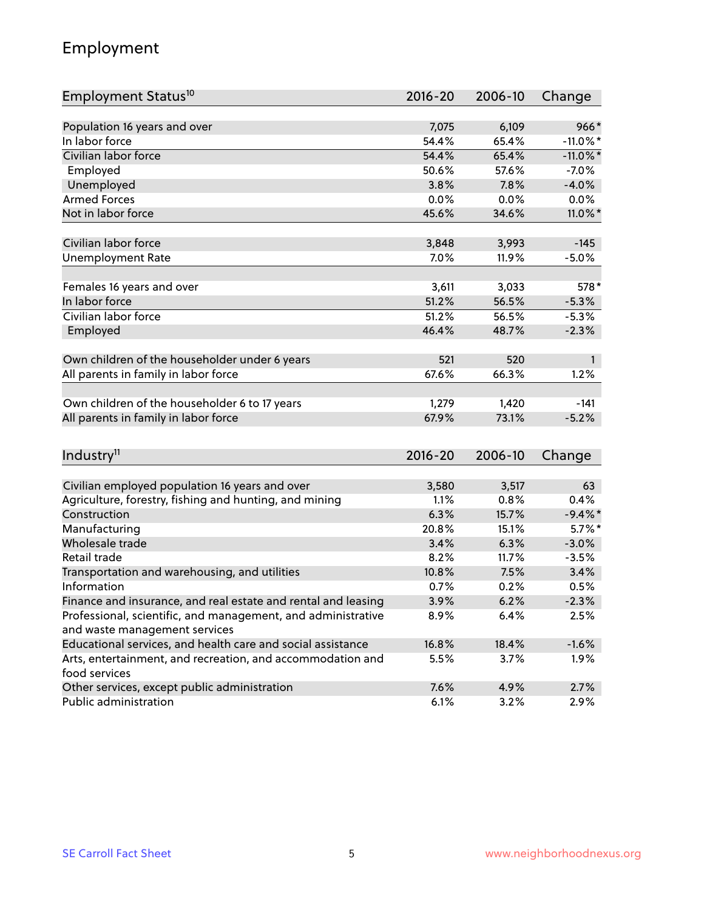## Employment

| Employment Status <sup>10</sup>                                             | $2016 - 20$ | 2006-10 | Change       |
|-----------------------------------------------------------------------------|-------------|---------|--------------|
|                                                                             |             |         |              |
| Population 16 years and over                                                | 7,075       | 6,109   | $966*$       |
| In labor force                                                              | 54.4%       | 65.4%   | $-11.0\%$ *  |
| Civilian labor force                                                        | 54.4%       | 65.4%   | $-11.0\%$ *  |
| Employed                                                                    | 50.6%       | 57.6%   | $-7.0%$      |
| Unemployed                                                                  | 3.8%        | 7.8%    | $-4.0%$      |
| <b>Armed Forces</b>                                                         | 0.0%        | 0.0%    | 0.0%         |
| Not in labor force                                                          | 45.6%       | 34.6%   | 11.0%*       |
| Civilian labor force                                                        | 3,848       | 3,993   | $-145$       |
|                                                                             | 7.0%        | 11.9%   |              |
| <b>Unemployment Rate</b>                                                    |             |         | $-5.0%$      |
| Females 16 years and over                                                   | 3,611       | 3,033   | 578*         |
| In labor force                                                              | 51.2%       | 56.5%   | $-5.3%$      |
| Civilian labor force                                                        | 51.2%       | 56.5%   | $-5.3%$      |
| Employed                                                                    | 46.4%       | 48.7%   | $-2.3%$      |
|                                                                             |             |         |              |
| Own children of the householder under 6 years                               | 521         | 520     | $\mathbf{1}$ |
| All parents in family in labor force                                        | 67.6%       | 66.3%   | 1.2%         |
| Own children of the householder 6 to 17 years                               | 1,279       | 1,420   | $-141$       |
| All parents in family in labor force                                        | 67.9%       | 73.1%   | $-5.2%$      |
|                                                                             |             |         |              |
| Industry <sup>11</sup>                                                      | $2016 - 20$ | 2006-10 | Change       |
|                                                                             |             |         |              |
| Civilian employed population 16 years and over                              | 3,580       | 3,517   | 63           |
| Agriculture, forestry, fishing and hunting, and mining                      | 1.1%        | 0.8%    | 0.4%         |
| Construction                                                                | 6.3%        | 15.7%   | $-9.4%$      |
| Manufacturing                                                               | 20.8%       | 15.1%   | $5.7\%$ *    |
| Wholesale trade                                                             | 3.4%        | 6.3%    | $-3.0%$      |
| Retail trade                                                                | 8.2%        | 11.7%   | $-3.5%$      |
| Transportation and warehousing, and utilities                               | 10.8%       | 7.5%    | 3.4%         |
| Information                                                                 | 0.7%        | 0.2%    | 0.5%         |
| Finance and insurance, and real estate and rental and leasing               | 3.9%        | 6.2%    | $-2.3%$      |
| Professional, scientific, and management, and administrative                | 8.9%        | 6.4%    | 2.5%         |
| and waste management services                                               |             |         |              |
| Educational services, and health care and social assistance                 | 16.8%       | 18.4%   | $-1.6%$      |
| Arts, entertainment, and recreation, and accommodation and<br>food services | 5.5%        | 3.7%    | 1.9%         |
| Other services, except public administration                                | 7.6%        | 4.9%    | 2.7%         |
| Public administration                                                       | 6.1%        | 3.2%    | 2.9%         |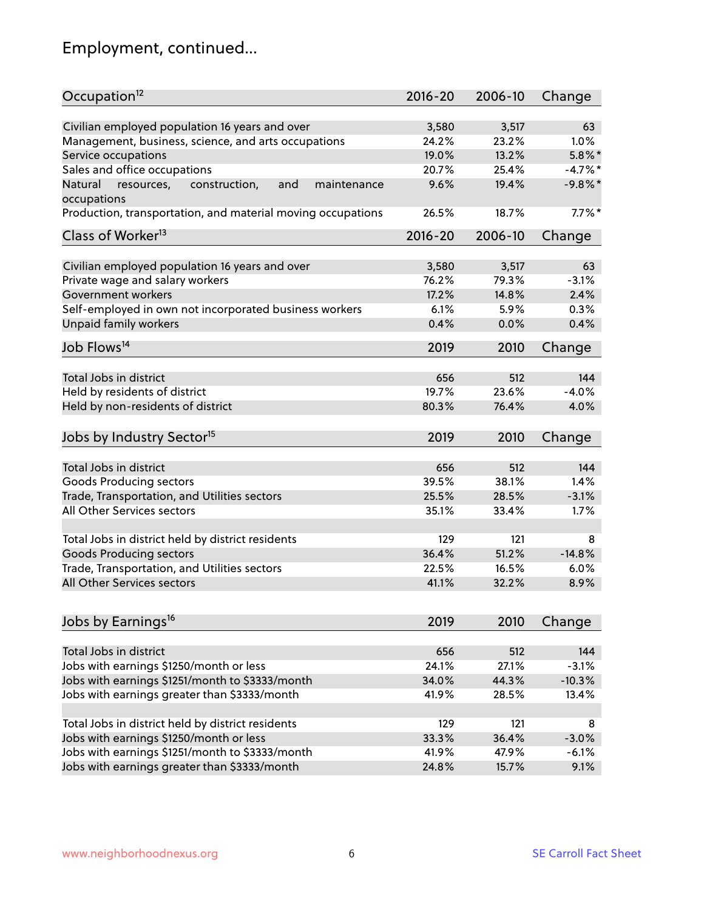# Employment, continued...

| Occupation <sup>12</sup>                                                    | $2016 - 20$ | 2006-10 | Change     |
|-----------------------------------------------------------------------------|-------------|---------|------------|
|                                                                             |             | 3,517   | 63         |
| Civilian employed population 16 years and over                              | 3,580       |         |            |
| Management, business, science, and arts occupations                         | 24.2%       | 23.2%   | $1.0\%$    |
| Service occupations                                                         | 19.0%       | 13.2%   | $5.8\%$ *  |
| Sales and office occupations                                                | 20.7%       | 25.4%   | $-4.7\%$ * |
| and<br>Natural<br>resources,<br>construction,<br>maintenance<br>occupations | 9.6%        | 19.4%   | $-9.8%$ *  |
| Production, transportation, and material moving occupations                 | 26.5%       | 18.7%   | $7.7\%$ *  |
| Class of Worker <sup>13</sup>                                               | $2016 - 20$ | 2006-10 | Change     |
| Civilian employed population 16 years and over                              | 3,580       | 3,517   | 63         |
| Private wage and salary workers                                             | 76.2%       | 79.3%   | $-3.1%$    |
| Government workers                                                          | 17.2%       | 14.8%   | 2.4%       |
| Self-employed in own not incorporated business workers                      | 6.1%        | 5.9%    | 0.3%       |
| Unpaid family workers                                                       | 0.4%        | 0.0%    | 0.4%       |
|                                                                             |             |         |            |
| Job Flows <sup>14</sup>                                                     | 2019        | 2010    | Change     |
|                                                                             |             |         |            |
| Total Jobs in district                                                      | 656         | 512     | 144        |
| Held by residents of district                                               | 19.7%       | 23.6%   | $-4.0%$    |
| Held by non-residents of district                                           | 80.3%       | 76.4%   | 4.0%       |
| Jobs by Industry Sector <sup>15</sup>                                       | 2019        | 2010    | Change     |
| Total Jobs in district                                                      | 656         | 512     | 144        |
| Goods Producing sectors                                                     | 39.5%       | 38.1%   | 1.4%       |
| Trade, Transportation, and Utilities sectors                                | 25.5%       | 28.5%   | $-3.1%$    |
| All Other Services sectors                                                  | 35.1%       | 33.4%   | 1.7%       |
|                                                                             |             |         |            |
| Total Jobs in district held by district residents                           | 129         | 121     | 8          |
| <b>Goods Producing sectors</b>                                              | 36.4%       | 51.2%   | $-14.8%$   |
| Trade, Transportation, and Utilities sectors                                | 22.5%       | 16.5%   | 6.0%       |
| All Other Services sectors                                                  | 41.1%       | 32.2%   | 8.9%       |
|                                                                             |             |         |            |
| Jobs by Earnings <sup>16</sup>                                              | 2019        | 2010    | Change     |
| Total Jobs in district                                                      | 656         | 512     | 144        |
| Jobs with earnings \$1250/month or less                                     | 24.1%       | 27.1%   | $-3.1%$    |
| Jobs with earnings \$1251/month to \$3333/month                             | 34.0%       | 44.3%   | $-10.3%$   |
| Jobs with earnings greater than \$3333/month                                | 41.9%       | 28.5%   | 13.4%      |
|                                                                             |             |         |            |
| Total Jobs in district held by district residents                           | 129         | 121     | 8          |
| Jobs with earnings \$1250/month or less                                     | 33.3%       | 36.4%   | $-3.0%$    |
| Jobs with earnings \$1251/month to \$3333/month                             | 41.9%       | 47.9%   | $-6.1%$    |
| Jobs with earnings greater than \$3333/month                                | 24.8%       | 15.7%   | 9.1%       |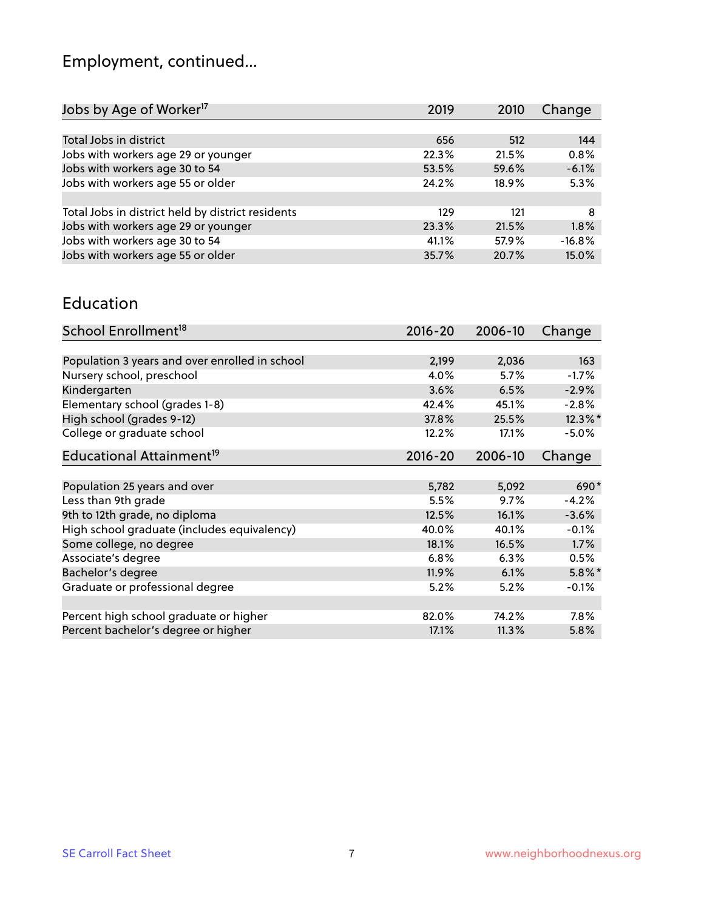# Employment, continued...

| Jobs by Age of Worker <sup>17</sup>               | 2019  | 2010  | Change   |
|---------------------------------------------------|-------|-------|----------|
|                                                   |       |       |          |
| Total Jobs in district                            | 656   | 512   | 144      |
| Jobs with workers age 29 or younger               | 22.3% | 21.5% | 0.8%     |
| Jobs with workers age 30 to 54                    | 53.5% | 59.6% | $-6.1%$  |
| Jobs with workers age 55 or older                 | 24.2% | 18.9% | 5.3%     |
|                                                   |       |       |          |
| Total Jobs in district held by district residents | 129   | 121   | 8        |
| Jobs with workers age 29 or younger               | 23.3% | 21.5% | 1.8%     |
| Jobs with workers age 30 to 54                    | 41.1% | 57.9% | $-16.8%$ |
| Jobs with workers age 55 or older                 | 35.7% | 20.7% | 15.0%    |

#### Education

| School Enrollment <sup>18</sup>                | $2016 - 20$ | 2006-10 | Change     |
|------------------------------------------------|-------------|---------|------------|
|                                                |             |         |            |
| Population 3 years and over enrolled in school | 2,199       | 2,036   | 163        |
| Nursery school, preschool                      | 4.0%        | 5.7%    | $-1.7%$    |
| Kindergarten                                   | 3.6%        | 6.5%    | $-2.9%$    |
| Elementary school (grades 1-8)                 | 42.4%       | 45.1%   | $-2.8%$    |
| High school (grades 9-12)                      | 37.8%       | 25.5%   | $12.3\%$ * |
| College or graduate school                     | 12.2%       | 17.1%   | $-5.0%$    |
| Educational Attainment <sup>19</sup>           | $2016 - 20$ | 2006-10 | Change     |
|                                                |             |         |            |
| Population 25 years and over                   | 5,782       | 5,092   | 690*       |
| Less than 9th grade                            | 5.5%        | 9.7%    | $-4.2%$    |
| 9th to 12th grade, no diploma                  | 12.5%       | 16.1%   | $-3.6%$    |
| High school graduate (includes equivalency)    | 40.0%       | 40.1%   | $-0.1%$    |
| Some college, no degree                        | 18.1%       | 16.5%   | 1.7%       |
| Associate's degree                             | 6.8%        | 6.3%    | 0.5%       |
| Bachelor's degree                              | 11.9%       | 6.1%    | $5.8\%$ *  |
| Graduate or professional degree                | 5.2%        | 5.2%    | $-0.1%$    |
|                                                |             |         |            |
| Percent high school graduate or higher         | 82.0%       | 74.2%   | $7.8\%$    |
| Percent bachelor's degree or higher            | 17.1%       | 11.3%   | 5.8%       |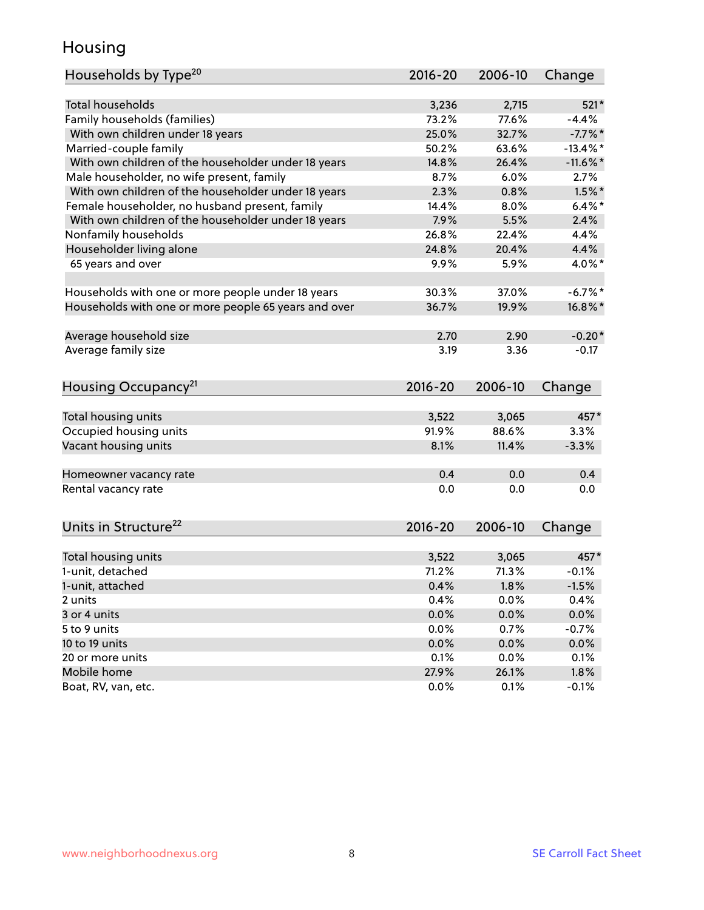## Housing

| Households by Type <sup>20</sup>                     | $2016 - 20$    | 2006-10        | Change      |
|------------------------------------------------------|----------------|----------------|-------------|
|                                                      |                |                |             |
| <b>Total households</b>                              | 3,236          | 2,715          | $521*$      |
| Family households (families)                         | 73.2%          | 77.6%          | $-4.4%$     |
| With own children under 18 years                     | 25.0%          | 32.7%          | $-7.7\%$ *  |
| Married-couple family                                | 50.2%          | 63.6%          | $-13.4\%$ * |
| With own children of the householder under 18 years  | 14.8%          | 26.4%          | $-11.6\%$ * |
| Male householder, no wife present, family            | 8.7%           | 6.0%           | 2.7%        |
| With own children of the householder under 18 years  | 2.3%           | 0.8%           | $1.5%$ *    |
| Female householder, no husband present, family       | 14.4%          | 8.0%           | $6.4\%$ *   |
| With own children of the householder under 18 years  | 7.9%           | 5.5%           | 2.4%        |
| Nonfamily households                                 | 26.8%          | 22.4%          | 4.4%        |
| Householder living alone                             | 24.8%          | 20.4%          | 4.4%        |
| 65 years and over                                    | 9.9%           | 5.9%           | 4.0%*       |
| Households with one or more people under 18 years    | 30.3%          | 37.0%          | $-6.7\%$ *  |
| Households with one or more people 65 years and over | 36.7%          | 19.9%          | 16.8%*      |
| Average household size                               | 2.70           | 2.90           | $-0.20*$    |
| Average family size                                  | 3.19           | 3.36           | $-0.17$     |
|                                                      |                |                |             |
| Housing Occupancy <sup>21</sup>                      | $2016 - 20$    | 2006-10        | Change      |
|                                                      |                |                | 457*        |
| Total housing units                                  | 3,522<br>91.9% | 3,065<br>88.6% | 3.3%        |
| Occupied housing units                               |                | 11.4%          |             |
| Vacant housing units                                 | 8.1%           |                | $-3.3%$     |
| Homeowner vacancy rate                               | 0.4            | 0.0            | 0.4         |
| Rental vacancy rate                                  | 0.0            | 0.0            | 0.0         |
|                                                      |                |                |             |
| Units in Structure <sup>22</sup>                     | $2016 - 20$    | 2006-10        | Change      |
| Total housing units                                  | 3,522          | 3,065          | 457*        |
| 1-unit, detached                                     | 71.2%          | 71.3%          | $-0.1%$     |
| 1-unit, attached                                     | 0.4%           | 1.8%           | $-1.5%$     |
| 2 units                                              | 0.4%           | 0.0%           | 0.4%        |
| 3 or 4 units                                         | 0.0%           | 0.0%           | 0.0%        |
| 5 to 9 units                                         | 0.0%           | 0.7%           | $-0.7%$     |
| 10 to 19 units                                       | 0.0%           | 0.0%           | 0.0%        |
| 20 or more units                                     | 0.1%           | 0.0%           | 0.1%        |
| Mobile home                                          | 27.9%          | 26.1%          | 1.8%        |
| Boat, RV, van, etc.                                  | 0.0%           | 0.1%           | $-0.1%$     |
|                                                      |                |                |             |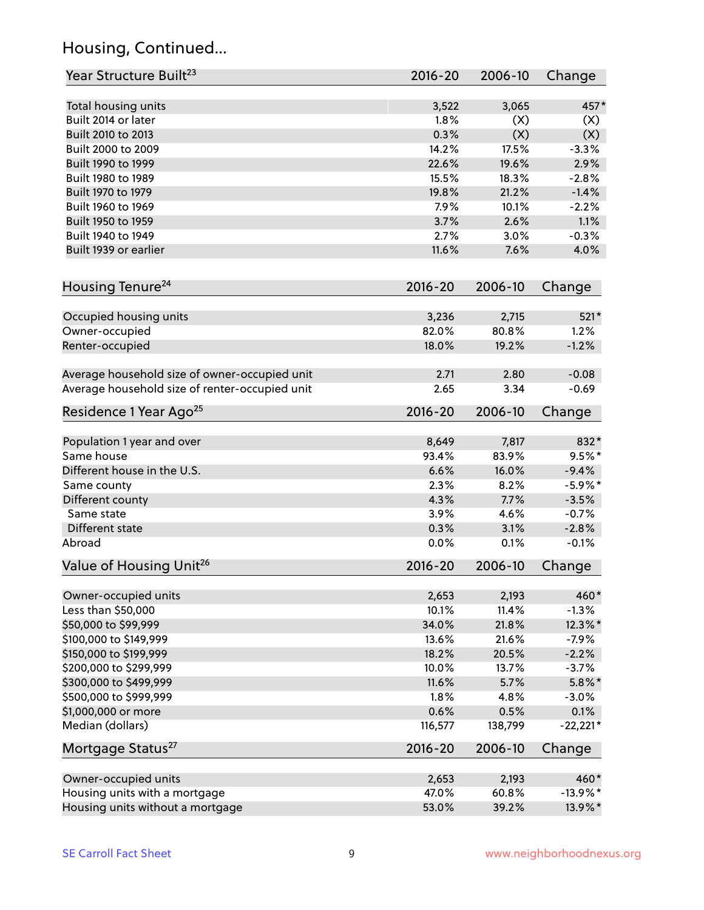## Housing, Continued...

| Year Structure Built <sup>23</sup>             | 2016-20     | 2006-10 | Change      |
|------------------------------------------------|-------------|---------|-------------|
| Total housing units                            | 3,522       | 3,065   | 457*        |
| Built 2014 or later                            | 1.8%        | (X)     | (X)         |
| Built 2010 to 2013                             | 0.3%        | (X)     | (X)         |
| Built 2000 to 2009                             | 14.2%       | 17.5%   | $-3.3%$     |
| Built 1990 to 1999                             | 22.6%       | 19.6%   | 2.9%        |
| Built 1980 to 1989                             | 15.5%       | 18.3%   | $-2.8%$     |
| Built 1970 to 1979                             | 19.8%       | 21.2%   | $-1.4%$     |
| Built 1960 to 1969                             | 7.9%        | 10.1%   | $-2.2%$     |
| Built 1950 to 1959                             | 3.7%        | 2.6%    | 1.1%        |
| Built 1940 to 1949                             | 2.7%        | 3.0%    | $-0.3%$     |
| Built 1939 or earlier                          | 11.6%       | 7.6%    | 4.0%        |
| Housing Tenure <sup>24</sup>                   | $2016 - 20$ | 2006-10 | Change      |
|                                                |             |         |             |
| Occupied housing units                         | 3,236       | 2,715   | $521*$      |
| Owner-occupied                                 | 82.0%       | 80.8%   | 1.2%        |
| Renter-occupied                                | 18.0%       | 19.2%   | $-1.2%$     |
| Average household size of owner-occupied unit  | 2.71        | 2.80    | $-0.08$     |
| Average household size of renter-occupied unit | 2.65        | 3.34    | $-0.69$     |
| Residence 1 Year Ago <sup>25</sup>             | 2016-20     | 2006-10 | Change      |
|                                                |             |         |             |
| Population 1 year and over                     | 8,649       | 7,817   | 832*        |
| Same house                                     | 93.4%       | 83.9%   | $9.5%$ *    |
| Different house in the U.S.                    | 6.6%        | 16.0%   | $-9.4%$     |
| Same county                                    | 2.3%        | 8.2%    | $-5.9\%$ *  |
| Different county                               | 4.3%        | 7.7%    | $-3.5%$     |
| Same state                                     | 3.9%        | 4.6%    | $-0.7%$     |
| Different state                                | 0.3%        | 3.1%    | $-2.8%$     |
| Abroad                                         | 0.0%        | 0.1%    | $-0.1%$     |
| Value of Housing Unit <sup>26</sup>            | $2016 - 20$ | 2006-10 | Change      |
| Owner-occupied units                           | 2,653       | 2,193   | 460*        |
| Less than \$50,000                             | 10.1%       | 11.4%   | $-1.3%$     |
| \$50,000 to \$99,999                           | 34.0%       | 21.8%   | 12.3%*      |
| \$100,000 to \$149,999                         | 13.6%       | 21.6%   | $-7.9%$     |
| \$150,000 to \$199,999                         | 18.2%       | 20.5%   | $-2.2%$     |
| \$200,000 to \$299,999                         | 10.0%       | 13.7%   | $-3.7%$     |
| \$300,000 to \$499,999                         | 11.6%       | 5.7%    | $5.8\%$ *   |
| \$500,000 to \$999,999                         | 1.8%        | 4.8%    | $-3.0%$     |
| \$1,000,000 or more                            | 0.6%        | 0.5%    | 0.1%        |
| Median (dollars)                               | 116,577     | 138,799 | $-22,221*$  |
| Mortgage Status <sup>27</sup>                  | 2016-20     | 2006-10 | Change      |
| Owner-occupied units                           | 2,653       | 2,193   | 460*        |
| Housing units with a mortgage                  | 47.0%       | 60.8%   | $-13.9\%$ * |
| Housing units without a mortgage               | 53.0%       | 39.2%   | 13.9%*      |
|                                                |             |         |             |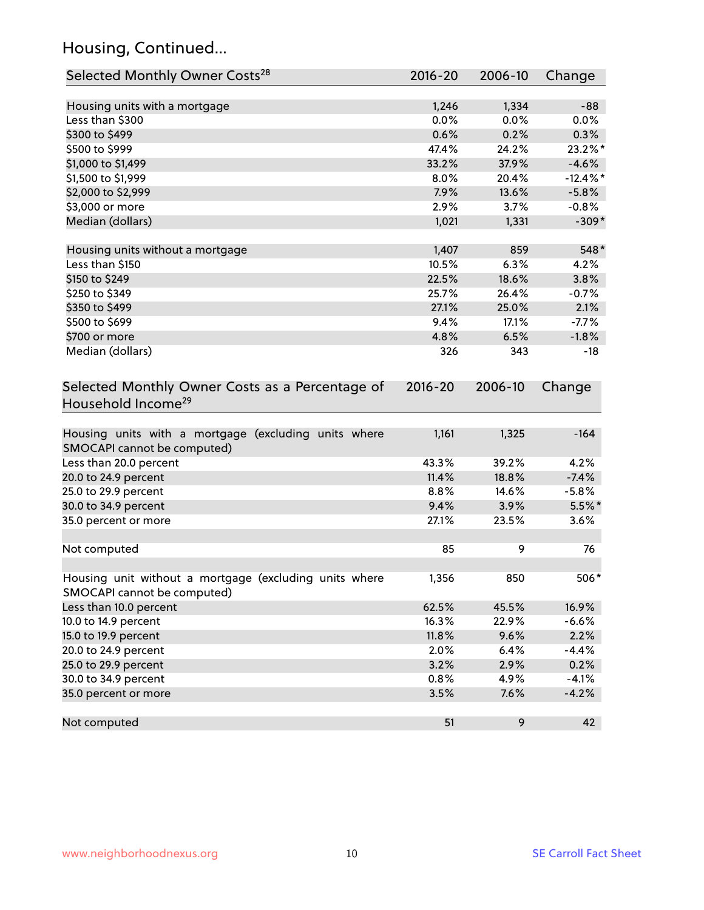## Housing, Continued...

| Selected Monthly Owner Costs <sup>28</sup>                                            | 2016-20     | 2006-10       | Change      |
|---------------------------------------------------------------------------------------|-------------|---------------|-------------|
|                                                                                       | 1,246       |               | $-88$       |
| Housing units with a mortgage<br>Less than \$300                                      | 0.0%        | 1,334<br>0.0% | $0.0\%$     |
| \$300 to \$499                                                                        | 0.6%        | 0.2%          | 0.3%        |
| \$500 to \$999                                                                        | 47.4%       | 24.2%         | 23.2%*      |
| \$1,000 to \$1,499                                                                    | 33.2%       | 37.9%         | $-4.6%$     |
| \$1,500 to \$1,999                                                                    | 8.0%        | 20.4%         | $-12.4\%$ * |
| \$2,000 to \$2,999                                                                    | 7.9%        | 13.6%         | $-5.8%$     |
| \$3,000 or more                                                                       | 2.9%        | 3.7%          | $-0.8%$     |
| Median (dollars)                                                                      | 1,021       | 1,331         | $-309*$     |
|                                                                                       |             |               |             |
| Housing units without a mortgage                                                      | 1,407       | 859           | 548*        |
| Less than \$150                                                                       | 10.5%       | 6.3%          | 4.2%        |
| \$150 to \$249                                                                        | 22.5%       | 18.6%         | 3.8%        |
| \$250 to \$349                                                                        | 25.7%       | 26.4%         | $-0.7%$     |
| \$350 to \$499                                                                        | 27.1%       | 25.0%         | 2.1%        |
| \$500 to \$699                                                                        | 9.4%        | 17.1%         | $-7.7%$     |
| \$700 or more                                                                         | 4.8%        | 6.5%          | $-1.8%$     |
| Median (dollars)                                                                      | 326         | 343           | -18         |
| Selected Monthly Owner Costs as a Percentage of<br>Household Income <sup>29</sup>     | $2016 - 20$ | 2006-10       | Change      |
| Housing units with a mortgage (excluding units where<br>SMOCAPI cannot be computed)   | 1,161       | 1,325         | $-164$      |
| Less than 20.0 percent                                                                | 43.3%       | 39.2%         | 4.2%        |
| 20.0 to 24.9 percent                                                                  | 11.4%       | 18.8%         | $-7.4%$     |
| 25.0 to 29.9 percent                                                                  | 8.8%        | 14.6%         | $-5.8%$     |
| 30.0 to 34.9 percent                                                                  | 9.4%        | 3.9%          | $5.5\%$ *   |
| 35.0 percent or more                                                                  | 27.1%       | 23.5%         | 3.6%        |
| Not computed                                                                          | 85          | 9             | 76          |
| Housing unit without a mortgage (excluding units where<br>SMOCAPI cannot be computed) | 1,356       | 850           | 506*        |
| Less than 10.0 percent                                                                | 62.5%       | 45.5%         | 16.9%       |
| 10.0 to 14.9 percent                                                                  | 16.3%       | 22.9%         | $-6.6%$     |
| 15.0 to 19.9 percent                                                                  | 11.8%       | 9.6%          | 2.2%        |
| 20.0 to 24.9 percent                                                                  | 2.0%        | 6.4%          | $-4.4%$     |
| 25.0 to 29.9 percent                                                                  | 3.2%        | 2.9%          | 0.2%        |
| 30.0 to 34.9 percent                                                                  | 0.8%        | 4.9%          | $-4.1%$     |
| 35.0 percent or more                                                                  | 3.5%        | 7.6%          | $-4.2%$     |
| Not computed                                                                          | 51          | 9             | 42          |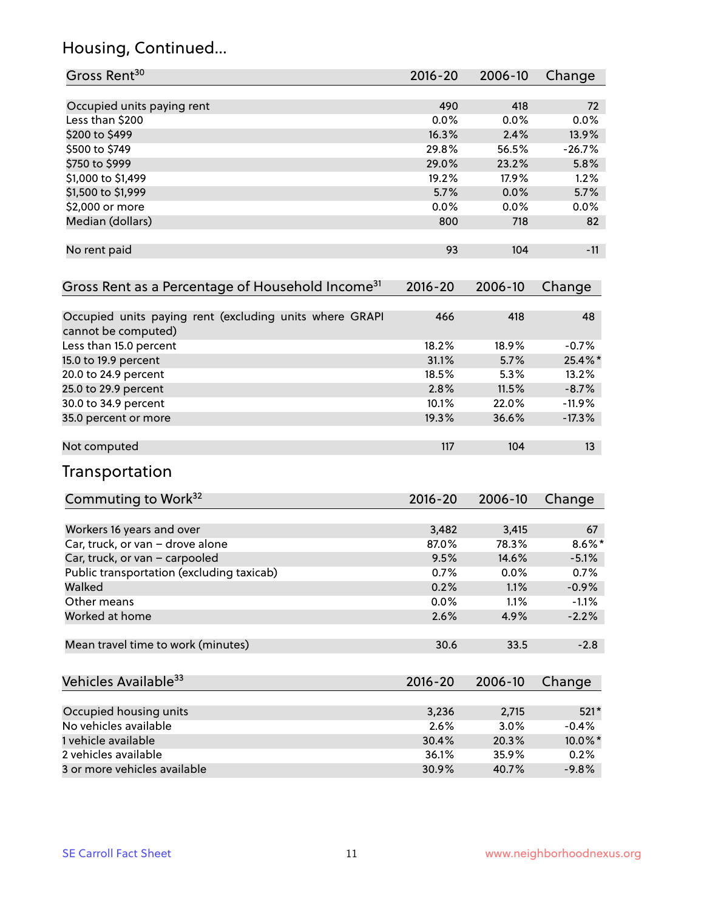## Housing, Continued...

| Gross Rent <sup>30</sup>                                                       | 2016-20     | 2006-10 | Change    |
|--------------------------------------------------------------------------------|-------------|---------|-----------|
| Occupied units paying rent                                                     | 490         | 418     | 72        |
| Less than \$200                                                                | 0.0%        | 0.0%    | 0.0%      |
| \$200 to \$499                                                                 | 16.3%       | 2.4%    | 13.9%     |
| \$500 to \$749                                                                 | 29.8%       | 56.5%   | $-26.7%$  |
| \$750 to \$999                                                                 | 29.0%       | 23.2%   | 5.8%      |
| \$1,000 to \$1,499                                                             | 19.2%       | 17.9%   | 1.2%      |
| \$1,500 to \$1,999                                                             | 5.7%        | 0.0%    | 5.7%      |
| \$2,000 or more                                                                | 0.0%        | 0.0%    | 0.0%      |
| Median (dollars)                                                               | 800         | 718     | 82        |
| No rent paid                                                                   | 93          | 104     | $-11$     |
| Gross Rent as a Percentage of Household Income <sup>31</sup>                   | $2016 - 20$ | 2006-10 | Change    |
| Occupied units paying rent (excluding units where GRAPI<br>cannot be computed) | 466         | 418     | 48        |
| Less than 15.0 percent                                                         | 18.2%       | 18.9%   | $-0.7%$   |
| 15.0 to 19.9 percent                                                           | 31.1%       | 5.7%    | 25.4%*    |
| 20.0 to 24.9 percent                                                           | 18.5%       | 5.3%    | 13.2%     |
| 25.0 to 29.9 percent                                                           | 2.8%        | 11.5%   | $-8.7%$   |
| 30.0 to 34.9 percent                                                           | 10.1%       | 22.0%   | $-11.9%$  |
| 35.0 percent or more                                                           | 19.3%       | 36.6%   | $-17.3%$  |
| Not computed                                                                   | 117         | 104     | 13        |
| Transportation                                                                 |             |         |           |
| Commuting to Work <sup>32</sup>                                                | 2016-20     | 2006-10 | Change    |
| Workers 16 years and over                                                      | 3,482       | 3,415   | 67        |
| Car, truck, or van - drove alone                                               | 87.0%       | 78.3%   | $8.6\%$ * |
| Car, truck, or van - carpooled                                                 | 9.5%        | 14.6%   | $-5.1%$   |
| Public transportation (excluding taxicab)                                      | 0.7%        | 0.0%    | 0.7%      |
| Walked                                                                         | 0.2%        | 1.1%    | $-0.9%$   |
| Other means                                                                    | 0.0%        | 1.1%    | $-1.1%$   |
| Worked at home                                                                 | 2.6%        | 4.9%    | $-2.2%$   |
| Mean travel time to work (minutes)                                             | 30.6        | 33.5    | $-2.8$    |
| Vehicles Available <sup>33</sup>                                               | $2016 - 20$ | 2006-10 | Change    |
| Occupied housing units                                                         | 3,236       | 2,715   | $521*$    |
| No vehicles available                                                          | 2.6%        | 3.0%    | $-0.4%$   |
| 1 vehicle available                                                            | 30.4%       | 20.3%   | 10.0%*    |
| 2 vehicles available                                                           | 36.1%       | 35.9%   | 0.2%      |
| 3 or more vehicles available                                                   | 30.9%       | 40.7%   | $-9.8%$   |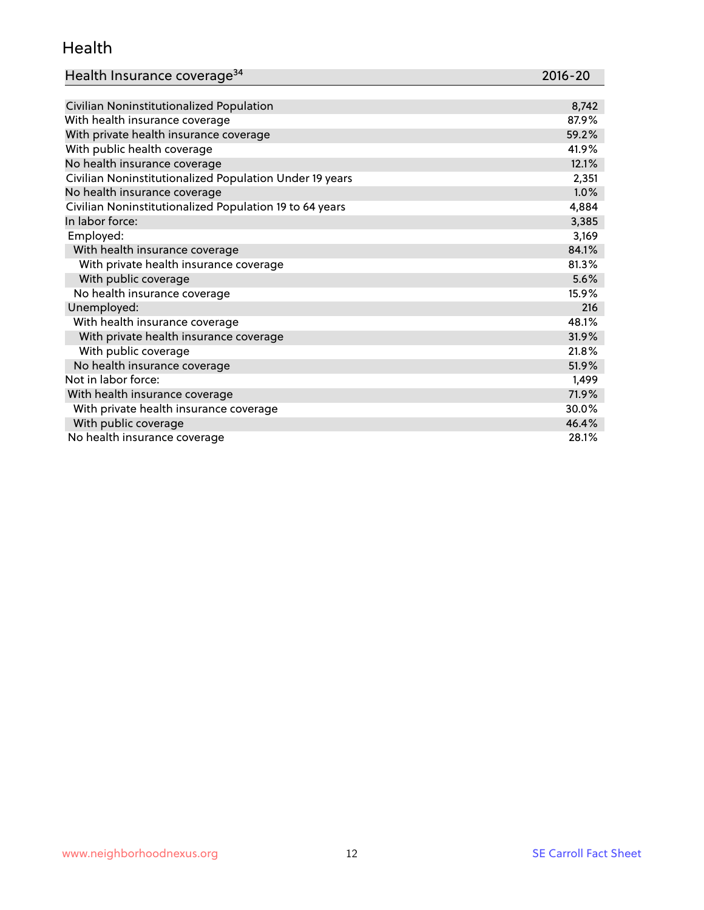#### Health

| Health Insurance coverage <sup>34</sup> | 2016-20 |
|-----------------------------------------|---------|
|-----------------------------------------|---------|

| Civilian Noninstitutionalized Population                | 8,742 |
|---------------------------------------------------------|-------|
| With health insurance coverage                          | 87.9% |
| With private health insurance coverage                  | 59.2% |
| With public health coverage                             | 41.9% |
| No health insurance coverage                            | 12.1% |
| Civilian Noninstitutionalized Population Under 19 years | 2,351 |
| No health insurance coverage                            | 1.0%  |
| Civilian Noninstitutionalized Population 19 to 64 years | 4,884 |
| In labor force:                                         | 3,385 |
| Employed:                                               | 3,169 |
| With health insurance coverage                          | 84.1% |
| With private health insurance coverage                  | 81.3% |
| With public coverage                                    | 5.6%  |
| No health insurance coverage                            | 15.9% |
| Unemployed:                                             | 216   |
| With health insurance coverage                          | 48.1% |
| With private health insurance coverage                  | 31.9% |
| With public coverage                                    | 21.8% |
| No health insurance coverage                            | 51.9% |
| Not in labor force:                                     | 1,499 |
| With health insurance coverage                          | 71.9% |
| With private health insurance coverage                  | 30.0% |
| With public coverage                                    | 46.4% |
| No health insurance coverage                            | 28.1% |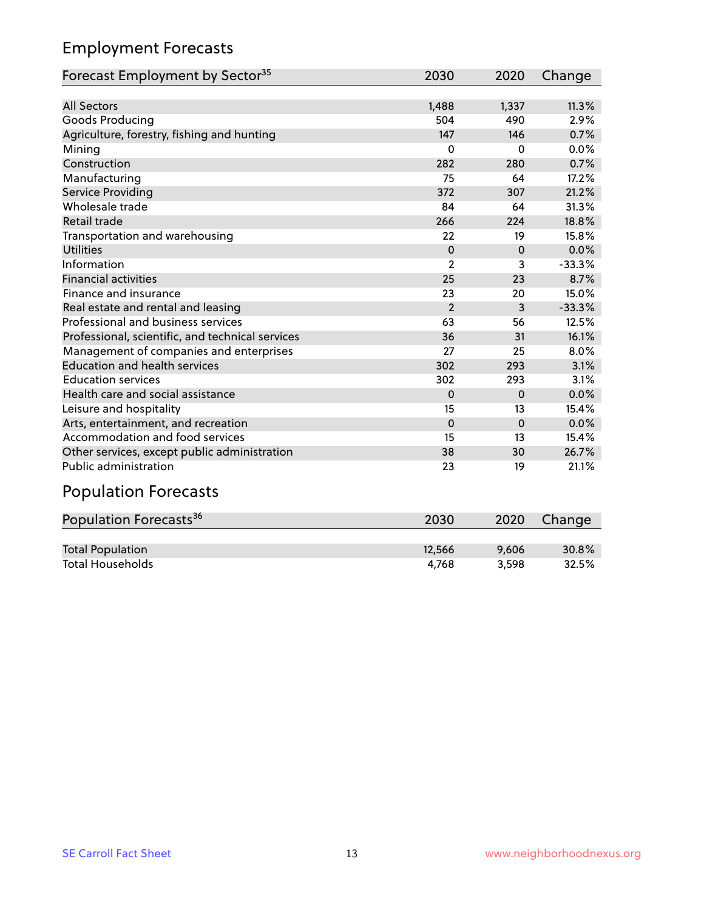## Employment Forecasts

| Forecast Employment by Sector <sup>35</sup>      | 2030           | 2020     | Change   |
|--------------------------------------------------|----------------|----------|----------|
|                                                  |                |          |          |
| <b>All Sectors</b>                               | 1,488          | 1,337    | 11.3%    |
| Goods Producing                                  | 504            | 490      | 2.9%     |
| Agriculture, forestry, fishing and hunting       | 147            | 146      | 0.7%     |
| Mining                                           | $\Omega$       | $\Omega$ | 0.0%     |
| Construction                                     | 282            | 280      | 0.7%     |
| Manufacturing                                    | 75             | 64       | 17.2%    |
| Service Providing                                | 372            | 307      | 21.2%    |
| Wholesale trade                                  | 84             | 64       | 31.3%    |
| Retail trade                                     | 266            | 224      | 18.8%    |
| Transportation and warehousing                   | 22             | 19       | 15.8%    |
| <b>Utilities</b>                                 | $\Omega$       | $\Omega$ | 0.0%     |
| Information                                      | $\overline{2}$ | 3        | $-33.3%$ |
| <b>Financial activities</b>                      | 25             | 23       | 8.7%     |
| Finance and insurance                            | 23             | 20       | 15.0%    |
| Real estate and rental and leasing               | $\overline{2}$ | 3        | $-33.3%$ |
| Professional and business services               | 63             | 56       | 12.5%    |
| Professional, scientific, and technical services | 36             | 31       | 16.1%    |
| Management of companies and enterprises          | 27             | 25       | 8.0%     |
| <b>Education and health services</b>             | 302            | 293      | 3.1%     |
| <b>Education services</b>                        | 302            | 293      | 3.1%     |
| Health care and social assistance                | $\Omega$       | $\Omega$ | 0.0%     |
| Leisure and hospitality                          | 15             | 13       | 15.4%    |
| Arts, entertainment, and recreation              | $\Omega$       | $\Omega$ | 0.0%     |
| Accommodation and food services                  | 15             | 13       | 15.4%    |
| Other services, except public administration     | 38             | 30       | 26.7%    |
| <b>Public administration</b>                     | 23             | 19       | 21.1%    |

## Population Forecasts

| Population Forecasts <sup>36</sup> | 2030   | 2020  | Change |
|------------------------------------|--------|-------|--------|
|                                    |        |       |        |
| <b>Total Population</b>            | 12.566 | 9.606 | 30.8%  |
| <b>Total Households</b>            | 4.768  | 3.598 | 32.5%  |